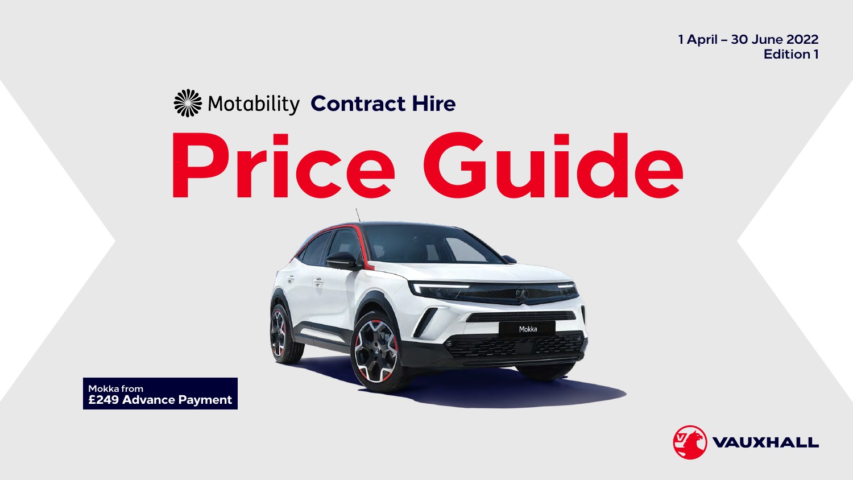# **Price Guide XX** Motability Contract Hire



**Mokka from £249 Advance Payment**

### **1 April – 30 June 2022 Edition 1**



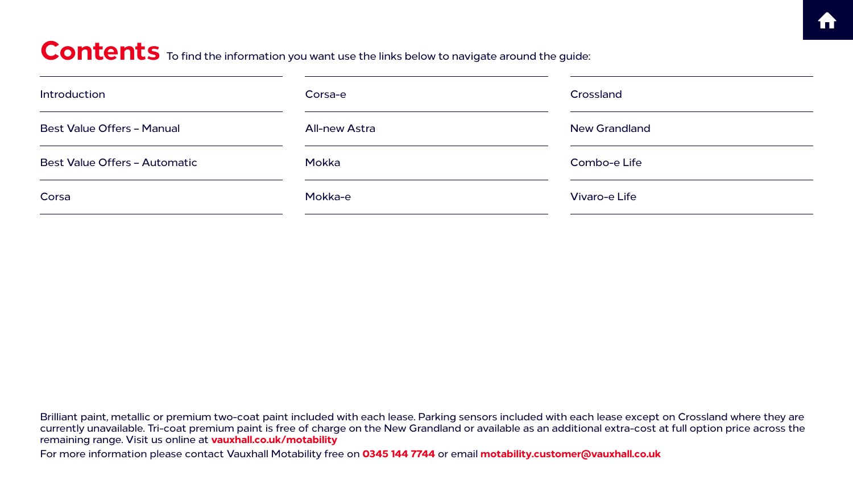Brilliant paint, metallic or premium two-coat paint included with each lease. Parking sensors included with each lease except on Crossland where they are currently unavailable. Tri-coat premium paint is free of charge on the New Grandland or available as an additional extra-cost at full option price across the remaining range. Visit us online at **[vauxhall.co.uk/motability](http://vauxhall.co.uk/motability)** For more information please contact Vauxhall Motability free on **0345 144 7744** or email **motability.customer@vauxhall.co.uk**

## Contents To find the information you want use the links below to navigate around the guide:

| Introduction                         | Corsa-e              |
|--------------------------------------|----------------------|
| <b>Best Value Offers - Manual</b>    | <b>All-new Astra</b> |
| <b>Best Value Offers - Automatic</b> | Mokka                |
| Corsa                                | Mokka-e              |

Crossland New Grandland Combo-e Life Vivaro-e Life



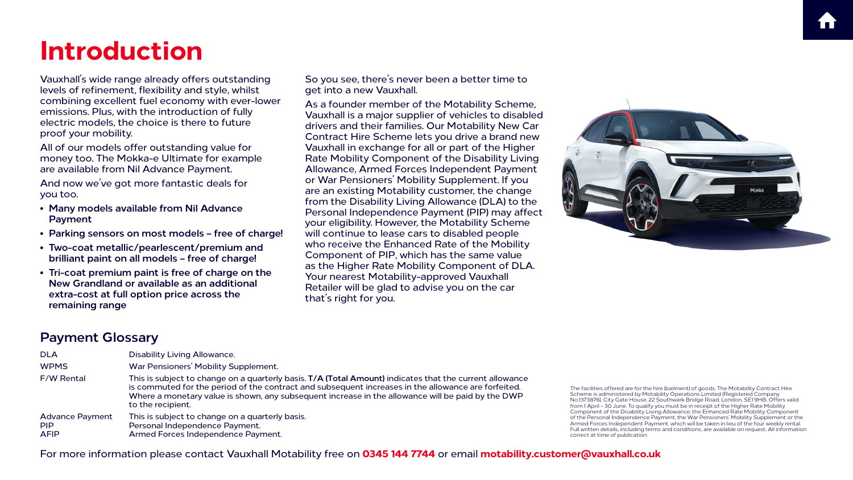### **Payment Glossary**

| <b>DLA</b>                                          | <b>Disability Living Allowance.</b>                                                                                                                                                                                                         |
|-----------------------------------------------------|---------------------------------------------------------------------------------------------------------------------------------------------------------------------------------------------------------------------------------------------|
| <b>WPMS</b>                                         | War Pensioners' Mobility Supplement.                                                                                                                                                                                                        |
| <b>F/W Rental</b>                                   | This is subject to change on a quarterly basis. T/A (Total Amount) indi<br>is commuted for the period of the contract and subsequent increases<br>Where a monetary value is shown, any subsequent increase in the allo<br>to the recipient. |
| <b>Advance Payment</b><br><b>PIP</b><br><b>AFIP</b> | This is subject to change on a quarterly basis.<br>Personal Independence Payment.<br>Armed Forces Independence Payment.                                                                                                                     |

## **Introduction**

Vauxhall's wide range already offers outstanding levels of refinement, flexibility and style, whilst combining excellent fuel economy with ever-lower emissions. Plus, with the introduction of fully electric models, the choice is there to future proof your mobility.

All of our models offer outstanding value for money too. The Mokka-e Ultimate for example are available from Nil Advance Payment.

And now we've got more fantastic deals for you too.

- **• Many models available from Nil Advance Payment**
- **Parking sensors on most models free of charge!**
- **• Two-coat metallic/pearlescent/premium and brilliant paint on all models – free of charge!**
- **• Tri-coat premium paint is free of charge on the New Grandland or available as an additional extra-cost at full option price across the remaining range**

So you see, there's never been a better time to get into a new Vauxhall.

As a founder member of the Motability Scheme, Vauxhall is a major supplier of vehicles to disabled drivers and their families. Our Motability New Car Contract Hire Scheme lets you drive a brand new Vauxhall in exchange for all or part of the Higher Rate Mobility Component of the Disability Living Allowance, Armed Forces Independent Payment or War Pensioners' Mobility Supplement. If you are an existing Motability customer, the change from the Disability Living Allowance (DLA) to the Personal Independence Payment (PIP) may affect your eligibility. However, the Motability Scheme will continue to lease cars to disabled people who receive the Enhanced Rate of the Mobility Component of PIP, which has the same value as the Higher Rate Mobility Component of DLA. Your nearest Motability-approved Vauxhall Retailer will be glad to advise you on the car that's right for you.

> The facilities offered are for the hire (bailment) of goods. The Motability Contract Hire Scheme is administered by Motability Operations Limited (Registered Company No.1373876), City Gate House, 22 Southwark Bridge Road, London, SE1 9HB. Offers valid from 1 April – 30 June. To qualify you must be in receipt of the Higher Rate Mobility Component of the Disability Living Allowance, the Enhanced Rate Mobility Component of the Personal Independence Payment, the War Pensioners' Mobility Supplement or the Armed Forces Independent Payment, which will be taken in lieu of the four weekly rental. Full written details, including terms and conditions, are available on request. All information correct at time of publication.





For more information please contact Vauxhall Motability free on **0345 144 7744** or email **motability.customer@vauxhall.co.uk**



icates that the current allowance s in the allowance are forfeited. owance will be paid by the DWP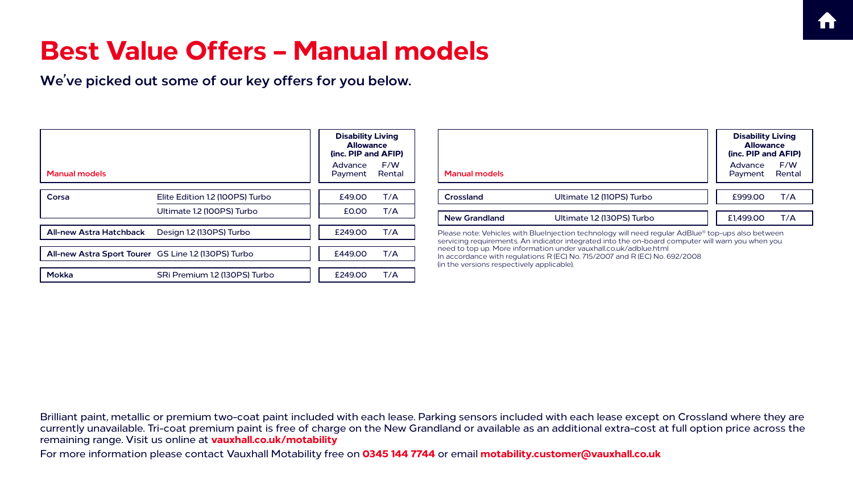For more information please contact Vauxhall Motability free on **0345 144 7744** or email **motability.customer@vauxhall.co.uk**







## **Best Value Offers – Manual models**

**We've picked out some of our key offers for you below.**

|                                | <b>Disability Living</b><br><b>Allowance</b><br>(inc. PIP and AFIP) |                    |               |                                            | <b>Disability Living</b><br><b>Allowance</b><br>(inc. PIP and AFIP)                                                                                                                                     |                                     |  |
|--------------------------------|---------------------------------------------------------------------|--------------------|---------------|--------------------------------------------|---------------------------------------------------------------------------------------------------------------------------------------------------------------------------------------------------------|-------------------------------------|--|
| <b>Manual models</b>           |                                                                     | Advance<br>Payment | F/W<br>Rental | <b>Manual models</b>                       |                                                                                                                                                                                                         | F/W<br>Advance<br>Payment<br>Rental |  |
| Corsa                          | Elite Edition 1.2 (100PS) Turbo                                     | £49.00             | T/A           | Crossland                                  | Ultimate 1.2 (110PS) Turbo                                                                                                                                                                              | £999.00<br>T/A                      |  |
|                                | Ultimate 1.2 (100PS) Turbo                                          | <b>£0.00</b>       | T/A           | <b>New Grandland</b>                       | Ultimate 1.2 (130PS) Turbo                                                                                                                                                                              | T/A<br>£1,499.00                    |  |
| <b>All-new Astra Hatchback</b> | Design 1.2 (130PS) Turbo                                            | £249.00            | T/A           |                                            | Please note: Vehicles with BlueInjection technology will need regular AdBlue® top-ups also between<br>servicing requirements. An indicator integrated into the on-board computer will warn you when you |                                     |  |
|                                | All-new Astra Sport Tourer GS Line 1.2 (130PS) Turbo                | £449.00            | T/A           | (in the versions respectively applicable). | need to top up. More information under vauxhall.co.uk/adblue.html<br>In accordance with regulations R (EC) No. 715/2007 and R (EC) No. 692/2008                                                         |                                     |  |
| <b>Mokka</b>                   | SRi Premium 1.2 (130PS) Turbo                                       | £249.00            | T/A           |                                            |                                                                                                                                                                                                         |                                     |  |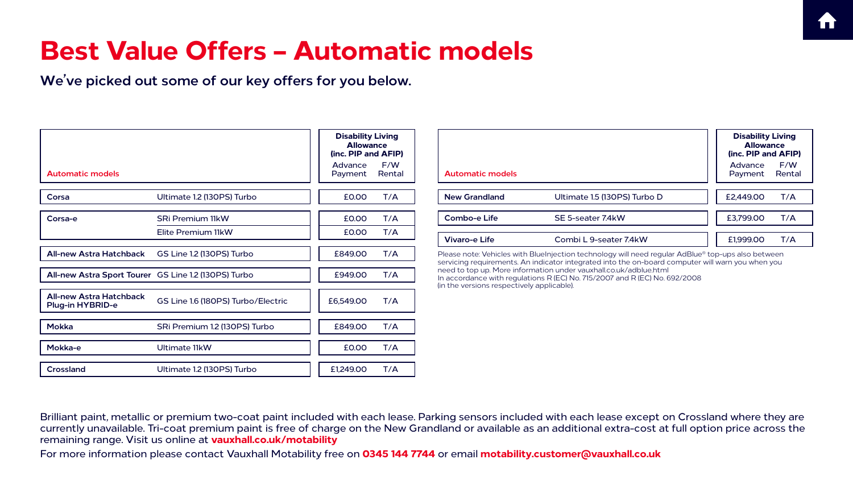For more information please contact Vauxhall Motability free on **0345 144 7744** or email **motability.customer@vauxhall.co.uk**

## **Best Value Offers – Automatic models**

**We've picked out some of our key offers for you below.**

|                                                           |                                    | <b>Disability Living</b><br><b>Allowance</b><br>(inc. PIP and AFIP) |               |
|-----------------------------------------------------------|------------------------------------|---------------------------------------------------------------------|---------------|
| <b>Automatic models</b>                                   |                                    | Advance<br>Payment                                                  | F/W<br>Rental |
| Corsa                                                     | Ultimate 1.2 (130PS) Turbo         | £0.00                                                               | T/A           |
| Corsa-e                                                   | <b>SRi Premium 11kW</b>            | £0.00                                                               | T/A           |
|                                                           | Elite Premium 11kW                 | £0.00                                                               | T/A           |
| <b>All-new Astra Hatchback</b>                            | GS Line 1.2 (130PS) Turbo          | £849.00                                                             | T/A           |
| All-new Astra Sport Tourer GS Line 1.2 (130PS) Turbo      |                                    | £949.00                                                             | T/A           |
| <b>All-new Astra Hatchback</b><br><b>Plug-in HYBRID-e</b> | GS Line 1.6 (180PS) Turbo/Electric | £6,549.00                                                           | T/A           |
| <b>Mokka</b>                                              | SRi Premium 1.2 (130PS) Turbo      | £849.00                                                             | T/A           |
| Mokka-e                                                   | Ultimate 11kW                      | £0.00                                                               | T/A           |
| <b>Crossland</b>                                          | Ultimate 1.2 (130PS) Turbo         | £1,249.00                                                           | T/A           |

| Advance<br>Payment<br><b>Automatic models</b><br><b>New Grandland</b><br>£2,449.00<br>Ultimate 1.5 (130PS) Turbo D<br><b>Combo-e Life</b><br>£3,799.00<br>SE 5-seater 7.4kW<br><b>Vivaro-e Life</b><br>Combi L 9-seater 7.4kW<br>£1,999.00<br>Please note: Vehicles with BlueInjection technology will need regular AdBlue® top-ups also between<br>servicing requirements. An indicator integrated into the on-board computer will warn you when you<br>need to top up. More information under vauxhall.co.uk/adblue.html<br>In accordance with regulations R (EC) No. 715/2007 and R (EC) No. 692/2008 | (in the versions respectively applicable). | <b>Disability Living</b><br><b>Allowance</b><br>(inc. PIP and AFIP) |               |
|----------------------------------------------------------------------------------------------------------------------------------------------------------------------------------------------------------------------------------------------------------------------------------------------------------------------------------------------------------------------------------------------------------------------------------------------------------------------------------------------------------------------------------------------------------------------------------------------------------|--------------------------------------------|---------------------------------------------------------------------|---------------|
|                                                                                                                                                                                                                                                                                                                                                                                                                                                                                                                                                                                                          |                                            |                                                                     | F/W<br>Rental |
|                                                                                                                                                                                                                                                                                                                                                                                                                                                                                                                                                                                                          |                                            |                                                                     | T/A           |
|                                                                                                                                                                                                                                                                                                                                                                                                                                                                                                                                                                                                          |                                            |                                                                     | T/A           |
|                                                                                                                                                                                                                                                                                                                                                                                                                                                                                                                                                                                                          |                                            |                                                                     | T/A           |
|                                                                                                                                                                                                                                                                                                                                                                                                                                                                                                                                                                                                          |                                            |                                                                     |               |
|                                                                                                                                                                                                                                                                                                                                                                                                                                                                                                                                                                                                          |                                            |                                                                     |               |
|                                                                                                                                                                                                                                                                                                                                                                                                                                                                                                                                                                                                          |                                            |                                                                     |               |
|                                                                                                                                                                                                                                                                                                                                                                                                                                                                                                                                                                                                          |                                            |                                                                     |               |





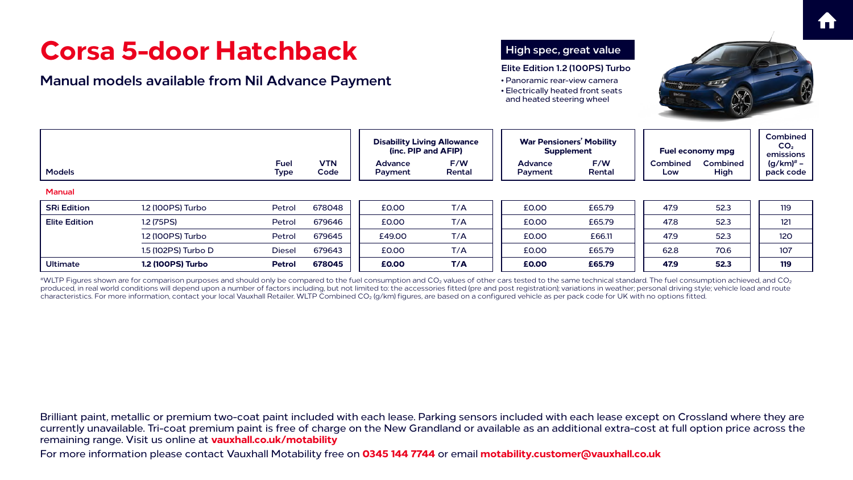For more information please contact Vauxhall Motability free on **0345 144 7744** or email **motability.customer@vauxhall.co.uk**





## **Corsa 5-door Hatchback**





|                      | Corsa 5-door Hatchback<br><b>Manual models available from Nil Advance Payment</b> |                            |                    | High spec, great value<br>Elite Edition 1.2 (100PS) Turbo<br>• Panoramic rear-view camera<br>• Electrically heated front seats<br>and heated steering wheel |                     |                                                      |               |                         |                         |                                                 |  |
|----------------------|-----------------------------------------------------------------------------------|----------------------------|--------------------|-------------------------------------------------------------------------------------------------------------------------------------------------------------|---------------------|------------------------------------------------------|---------------|-------------------------|-------------------------|-------------------------------------------------|--|
|                      |                                                                                   |                            |                    | <b>Disability Living Allowance</b>                                                                                                                          | (inc. PIP and AFIP) | <b>War Pensioners' Mobility</b><br><b>Supplement</b> |               | <b>Fuel economy mpg</b> |                         | <b>Combined</b><br>CO <sub>2</sub><br>emissions |  |
| <b>Models</b>        |                                                                                   | <b>Fuel</b><br><b>Type</b> | <b>VTN</b><br>Code | <b>Advance</b><br>Payment                                                                                                                                   | F/W<br>Rental       | <b>Advance</b><br>Payment                            | F/W<br>Rental | <b>Combined</b><br>Low  | <b>Combined</b><br>High | $(g/km)^*$ –<br>pack code                       |  |
| <b>Manual</b>        |                                                                                   |                            |                    |                                                                                                                                                             |                     |                                                      |               |                         |                         |                                                 |  |
| <b>SRi Edition</b>   | 1.2 (100PS) Turbo                                                                 | Petrol                     | 678048             | £0.00                                                                                                                                                       | T/A                 | <b>£0.00</b>                                         | £65.79        | 47.9                    | 52.3                    | 119                                             |  |
| <b>Elite Edition</b> | 1.2 (75PS)                                                                        | Petrol                     | 679646             | £0.00                                                                                                                                                       | T/A                 | <b>£0.00</b>                                         | £65.79        | 47.8                    | 52.3                    | 121                                             |  |
|                      | 1.2 (100PS) Turbo                                                                 | Petrol                     | 679645             | £49.00                                                                                                                                                      | T/A                 | £0.00                                                | £66.11        | 47.9                    | 52.3                    | <b>120</b>                                      |  |
|                      | 1.5 (102PS) Turbo D                                                               | <b>Diesel</b>              | 679643             | <b>£0.00</b>                                                                                                                                                | T/A                 | £0.00                                                | £65.79        | 62.8                    | 70.6                    | 107                                             |  |
| <b>Ultimate</b>      | <b>1.2 (100PS) Turbo</b>                                                          | <b>Petrol</b>              | 678045             | £0.00                                                                                                                                                       | T/A                 | £0.00                                                | £65.79        | 47.9                    | 52.3                    | <b>119</b>                                      |  |

 $^{*\!}$ WLTP Figures shown are for comparison purposes and should only be compared to the fuel consumption and CO<sub>2</sub> values of other cars tested to the same technical standard. The fuel consumption achieved, and CO<sub>2</sub> produced, in real world conditions will depend upon a number of factors including, but not limited to: the accessories fitted (pre and post registration); variations in weather; personal driving style; vehicle load and route characteristics. For more information, contact your local Vauxhall Retailer. WLTP Combined CO2 (g/km) figures, are based on a configured vehicle as per pack code for UK with no options fitted.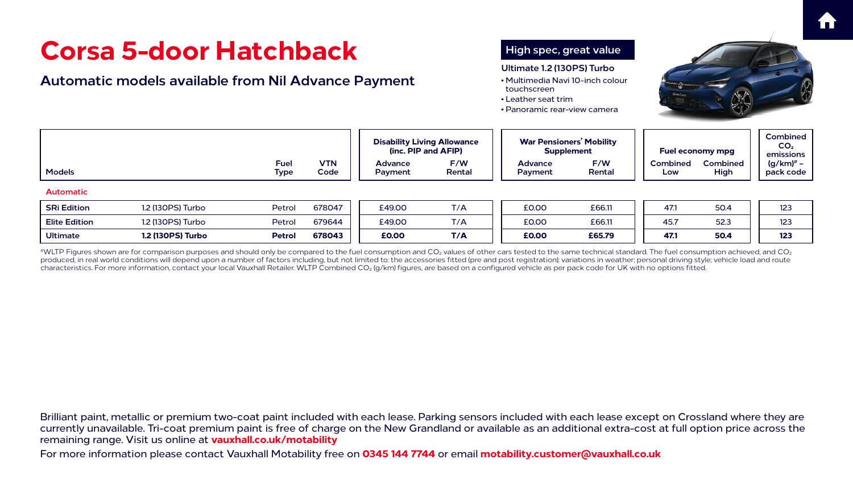For more information please contact Vauxhall Motability free on **0345 144 7744** or email **motability.customer@vauxhall.co.uk**





## **Corsa 5-door Hatchback**





|  |                                                                    |                                                  |                                    | <b>Disability Living Allowance</b>                                                                                           |                                                    | touchscreen<br>• Leather seat trim<br>• Panoramic rear-view camera<br><b>War Pensioners' Mobility</b> |                                                                                                                                                       |                      |                                                         |
|--|--------------------------------------------------------------------|--------------------------------------------------|------------------------------------|------------------------------------------------------------------------------------------------------------------------------|----------------------------------------------------|-------------------------------------------------------------------------------------------------------|-------------------------------------------------------------------------------------------------------------------------------------------------------|----------------------|---------------------------------------------------------|
|  | <b>Fuel</b>                                                        | <b>VTN</b>                                       | Advance                            | F/W                                                                                                                          | <b>Advance</b>                                     | F/W                                                                                                   | <b>Combined</b>                                                                                                                                       | <b>Combined</b>      | CO <sub>2</sub><br>emissio<br>$(g/km)^{\#}$             |
|  |                                                                    |                                                  |                                    |                                                                                                                              |                                                    |                                                                                                       | Low                                                                                                                                                   |                      | pack co                                                 |
|  |                                                                    |                                                  |                                    |                                                                                                                              |                                                    |                                                                                                       |                                                                                                                                                       |                      | 123                                                     |
|  |                                                                    |                                                  |                                    |                                                                                                                              |                                                    |                                                                                                       |                                                                                                                                                       |                      | 123                                                     |
|  |                                                                    |                                                  |                                    |                                                                                                                              |                                                    |                                                                                                       |                                                                                                                                                       |                      | 123                                                     |
|  | 1.2 (130PS) Turbo<br>1.2 (130PS) Turbo<br><b>1.2 (130PS) Turbo</b> | <b>Type</b><br>Petrol<br>Petrol<br><b>Petrol</b> | Code<br>678047<br>679644<br>678043 | Corsa 5-door Hatchback<br><b>Automatic models available from Nil Advance Payment</b><br>Payment<br>£49.00<br>£49.00<br>£0.00 | (inc. PIP and AFIP)<br>Rental<br>T/A<br>T/A<br>T/A | Payment<br><b>£0.00</b><br>£0.00<br>£0.00                                                             | High spec, great value<br>Ultimate 1.2 (130PS) Turbo<br>• Multimedia Navi 10-inch colour<br><b>Supplement</b><br>Rental<br>£66.11<br>£66.11<br>£65.79 | 47.1<br>45.7<br>47.1 | <b>Fuel economy mpg</b><br>High<br>50.4<br>52.3<br>50.4 |

 $^{\#}$ WLTP Figures shown are for comparison purposes and should only be compared to the fuel consumption and CO<sub>2</sub> values of other cars tested to the same technical standard. The fuel consumption achieved, and CO<sub>2</sub> produced, in real world conditions will depend upon a number of factors including, but not limited to: the accessories fitted (pre and post registration); variations in weather; personal driving style; vehicle load and route characteristics. For more information, contact your local Vauxhall Retailer. WLTP Combined CO2 (g/km) figures, are based on a configured vehicle as per pack code for UK with no options fitted.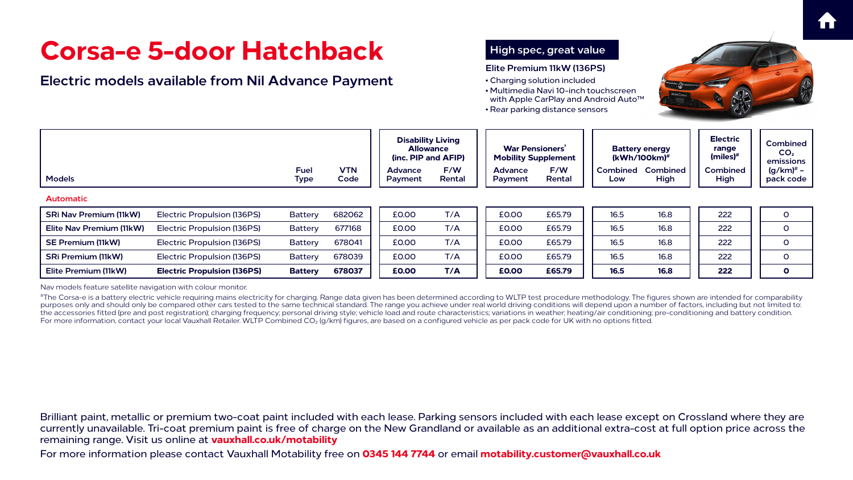For more information please contact Vauxhall Motability free on **0345 144 7744** or email **motability.customer@vauxhall.co.uk**





## **Corsa-e 5-door Hatchback**

#The Corsa-e is a battery electric vehicle requiring mains electricity for charging. Range data given has been determined according to WLTP test procedure methodology. The figures shown are intended for comparability purposes only and should only be compared other cars tested to the same technical standard. The range you achieve under real world driving conditions will depend upon a number of factors, including but not limited to: the accessories fitted (pre and post registration); charging frequency; personal driving style; vehicle load and route characteristics; variations in weather; heating/air conditioning; pre-conditioning and battery condition. For more information, contact your local Vauxhall Retailer. WLTP Combined CO<sub>2</sub> (g/km) figures, are based on a configured vehicle as per pack code for UK with no options fitted.









| Corsa-e 5-door Hatchback<br><b>Electric models available from Nil Advance Payment</b> |                                    |                |            |                                                                                       |        |                | High spec, great value<br>Elite Premium 11kW (136PS)<br>• Charging solution included<br>• Rear parking distance sensors | • Multimedia Navi 10-inch touchscreen<br>with Apple CarPlay and Android Auto <sup>™</sup> |                                                                         |                                                                       |                                                             |
|---------------------------------------------------------------------------------------|------------------------------------|----------------|------------|---------------------------------------------------------------------------------------|--------|----------------|-------------------------------------------------------------------------------------------------------------------------|-------------------------------------------------------------------------------------------|-------------------------------------------------------------------------|-----------------------------------------------------------------------|-------------------------------------------------------------|
|                                                                                       |                                    | <b>Fuel</b>    | <b>VTN</b> | <b>Disability Living</b><br><b>Allowance</b><br>(inc. PIP and AFIP)<br><b>Advance</b> | F/W    | <b>Advance</b> | <b>War Pensioners'</b><br><b>Mobility Supplement</b><br>F/W                                                             |                                                                                           | <b>Battery energy</b><br>$(kWh/100km)^{\#}$<br><b>Combined Combined</b> | <b>Electric</b><br>range<br>$(miles)$ <sup>#</sup><br><b>Combined</b> | Combin<br>CO <sub>2</sub><br>emissio<br>(g/km) <sup>#</sup> |
| <b>Models</b>                                                                         |                                    | <b>Type</b>    | Code       | <b>Payment</b>                                                                        | Rental | <b>Payment</b> | Rental                                                                                                                  | Low                                                                                       | High                                                                    | High                                                                  | pack co                                                     |
| <b>Automatic</b>                                                                      |                                    |                |            |                                                                                       |        |                |                                                                                                                         |                                                                                           |                                                                         |                                                                       |                                                             |
| <b>SRi Nav Premium (11kW)</b>                                                         | <b>Electric Propulsion (136PS)</b> | <b>Battery</b> | 682062     | £0.00                                                                                 | T/A    | £0.00          | £65.79                                                                                                                  | 16.5                                                                                      | 16.8                                                                    | 222                                                                   | $\mathsf{O}$                                                |
| Elite Nav Premium (11kW)                                                              | <b>Electric Propulsion (136PS)</b> | <b>Battery</b> | 677168     | £0.00                                                                                 | T/A    | £0.00          | £65.79                                                                                                                  | 16.5                                                                                      | 16.8                                                                    | 222                                                                   | $\overline{O}$                                              |
| <b>SE Premium (11kW)</b>                                                              | Electric Propulsion (136PS)        | <b>Battery</b> | 678041     | £0.00                                                                                 | T/A    | £0.00          | £65.79                                                                                                                  | 16.5                                                                                      | 16.8                                                                    | 222                                                                   | $\overline{O}$                                              |
| <b>SRi Premium (11kW)</b>                                                             | Electric Propulsion (136PS)        | <b>Battery</b> | 678039     | £0.00                                                                                 | T/A    | £0.00          | £65.79                                                                                                                  | 16.5                                                                                      | 16.8                                                                    | 222                                                                   | $\overline{O}$                                              |
| Elite Premium (11kW)                                                                  | <b>Electric Propulsion (136PS)</b> | <b>Battery</b> | 678037     | £0.00                                                                                 | T/A    | £0.00          | £65.79                                                                                                                  | <b>16.5</b>                                                                               | <b>16.8</b>                                                             | 222                                                                   | $\mathbf{o}$                                                |

Nav models feature satellite navigation with colour monitor.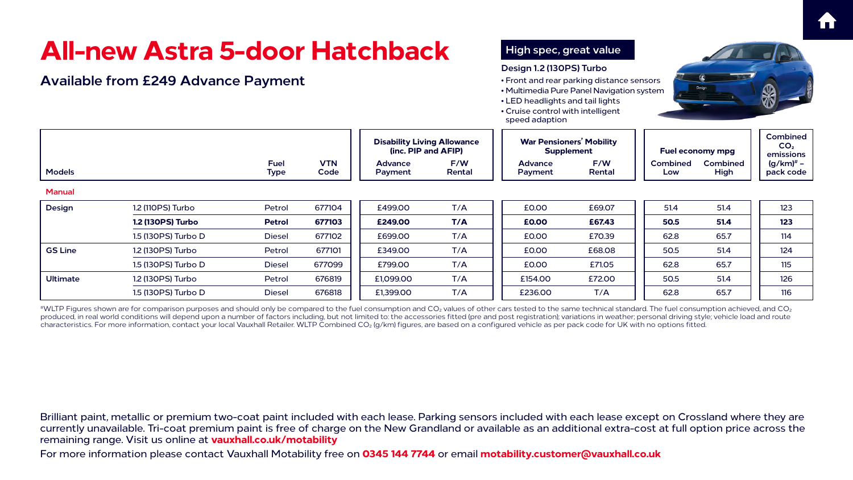For more information please contact Vauxhall Motability free on **0345 144 7744** or email **motability.customer@vauxhall.co.uk**









 $^{*\!}$ WLTP Figures shown are for comparison purposes and should only be compared to the fuel consumption and CO<sub>2</sub> values of other cars tested to the same technical standard. The fuel consumption achieved, and CO<sub>2</sub> produced, in real world conditions will depend upon a number of factors including, but not limited to: the accessories fitted (pre and post registration); variations in weather; personal driving style; vehicle load and route characteristics. For more information, contact your local Vauxhall Retailer. WLTP Combined CO2 (g/km) figures, are based on a configured vehicle as per pack code for UK with no options fitted.

|                 | All-new Astra 5-door Hatchback<br><b>Available from £249 Advance Payment</b> |                            |                    |                                                           |               | High spec, great value<br>Design 1.2 (130PS) Turbo<br>• Front and rear parking distance sensors<br>• Multimedia Pure Panel Navigation system<br>• LED headlights and tail lights<br>• Cruise control with intelligent<br>speed adaption |               |                         |                         | S                                    |
|-----------------|------------------------------------------------------------------------------|----------------------------|--------------------|-----------------------------------------------------------|---------------|-----------------------------------------------------------------------------------------------------------------------------------------------------------------------------------------------------------------------------------------|---------------|-------------------------|-------------------------|--------------------------------------|
|                 |                                                                              |                            |                    | <b>Disability Living Allowance</b><br>(inc. PIP and AFIP) |               | <b>War Pensioners' Mobility</b><br><b>Supplement</b>                                                                                                                                                                                    |               | <b>Fuel economy mpg</b> |                         | Combin<br>CO <sub>2</sub><br>emissio |
| <b>Models</b>   |                                                                              | <b>Fuel</b><br><b>Type</b> | <b>VTN</b><br>Code | <b>Advance</b><br>Payment                                 | F/W<br>Rental | <b>Advance</b><br>Payment                                                                                                                                                                                                               | F/W<br>Rental | <b>Combined</b><br>Low  | <b>Combined</b><br>High | (g/km) <sup>#</sup><br>pack co       |
| <b>Manual</b>   |                                                                              |                            |                    |                                                           |               |                                                                                                                                                                                                                                         |               |                         |                         |                                      |
| <b>Design</b>   | 1.2 (110PS) Turbo                                                            | Petrol                     | 677104             | £499.00                                                   | T/A           | <b>£0.00</b>                                                                                                                                                                                                                            | £69.07        | 51.4                    | 51.4                    | 123                                  |
|                 | <b>1.2 (130PS) Turbo</b>                                                     | <b>Petrol</b>              | 677103             | £249.00                                                   | T/A           | <b>£0.00</b>                                                                                                                                                                                                                            | £67.43        | 50.5                    | 51.4                    | 123                                  |
|                 | 1.5 (130PS) Turbo D                                                          | <b>Diesel</b>              | 677102             | £699.00                                                   | T/A           | £0.00                                                                                                                                                                                                                                   | £70.39        | 62.8                    | 65.7                    | 114                                  |
| <b>GS Line</b>  | 1.2 (130PS) Turbo                                                            | Petrol                     | 677101             | £349.00                                                   | T/A           | £0.00                                                                                                                                                                                                                                   | £68.08        | 50.5                    | 51.4                    | 124                                  |
|                 | 1.5 (130PS) Turbo D                                                          | <b>Diesel</b>              | 677099             | £799.00                                                   | T/A           | <b>£0.00</b>                                                                                                                                                                                                                            | £71.05        | 62.8                    | 65.7                    | 115                                  |
| <b>Ultimate</b> | 1.2 (130PS) Turbo                                                            | Petrol                     | 676819             | £1,099.00                                                 | T/A           | £154.00                                                                                                                                                                                                                                 | £72.00        | 50.5                    | 51.4                    | 126                                  |
|                 | 1.5 (130PS) Turbo D                                                          | <b>Diesel</b>              | 676818             | £1,399.00                                                 | T/A           | £236.00                                                                                                                                                                                                                                 | T/A           | 62.8                    | 65.7                    | 116                                  |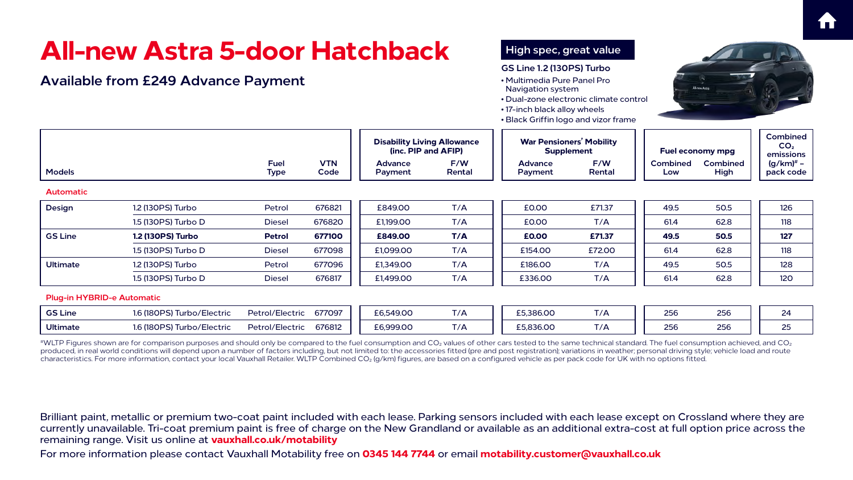For more information please contact Vauxhall Motability free on **0345 144 7744** or email **motability.customer@vauxhall.co.uk**













<sup>#</sup>WLTP Figures shown are for comparison purposes and should only be compared to the fuel consumption and CO<sub>2</sub> values of other cars tested to the same technical standard. The fuel consumption achieved, and CO<sub>2</sub> produced, in real world conditions will depend upon a number of factors including, but not limited to: the accessories fitted (pre and post registration); variations in weather; personal driving style; vehicle load and route characteristics. For more information, contact your local Vauxhall Retailer. WLTP Combined CO2 (g/km) figures, are based on a configured vehicle as per pack code for UK with no options fitted.

|                  | All-new Astra 5-door Hatchback             |                            |                    |                           |                                                           |                                                                                                                                                                           | High spec, great value<br><b>GS Line 1.2 (130PS) Turbo</b> |                        |                                |                                           |  |
|------------------|--------------------------------------------|----------------------------|--------------------|---------------------------|-----------------------------------------------------------|---------------------------------------------------------------------------------------------------------------------------------------------------------------------------|------------------------------------------------------------|------------------------|--------------------------------|-------------------------------------------|--|
|                  | <b>Available from £249 Advance Payment</b> |                            |                    |                           |                                                           | • Multimedia Pure Panel Pro<br><b>Navigation system</b><br>• Dual-zone electronic climate control<br>• 17-inch black alloy wheels<br>• Black Griffin logo and vizor frame |                                                            |                        | All-new Astra                  |                                           |  |
|                  |                                            |                            |                    |                           | <b>Disability Living Allowance</b><br>(inc. PIP and AFIP) |                                                                                                                                                                           | <b>War Pensioners' Mobility</b><br><b>Supplement</b>       |                        | Fuel economy mpg               |                                           |  |
| <b>Models</b>    |                                            | <b>Fuel</b><br><b>Type</b> | <b>VTN</b><br>Code | <b>Advance</b><br>Payment | F/W<br>Rental                                             | <b>Advance</b><br>Payment                                                                                                                                                 | F/W<br>Rental                                              | <b>Combined</b><br>Low | <b>Combined</b><br><b>High</b> | emissio<br>(g/km) <sup>#</sup><br>pack co |  |
| <b>Automatic</b> |                                            |                            |                    |                           |                                                           |                                                                                                                                                                           |                                                            |                        |                                |                                           |  |
| <b>Design</b>    | 1.2 (130PS) Turbo                          | Petrol                     | 676821             | £849.00                   | T/A                                                       | <b>£0.00</b>                                                                                                                                                              | £71.37                                                     | 49.5                   | 50.5                           | 126                                       |  |
|                  | 1.5 (130PS) Turbo D                        | <b>Diesel</b>              | 676820             | £1,199.00                 | T/A                                                       | <b>£0.00</b>                                                                                                                                                              | T/A                                                        | 61.4                   | 62.8                           | 118                                       |  |
| <b>GS Line</b>   | <b>1.2 (130PS) Turbo</b>                   | <b>Petrol</b>              | 677100             | £849.00                   | T/A                                                       | £0.00                                                                                                                                                                     | £71.37                                                     | 49.5                   | 50.5                           | 127                                       |  |
|                  | 1.5 (130PS) Turbo D                        | <b>Diesel</b>              | 677098             | £1,099.00                 | T/A                                                       | £154.00                                                                                                                                                                   | £72.00                                                     | 61.4                   | 62.8                           | 118                                       |  |
| <b>Ultimate</b>  | 1.2 (130PS) Turbo                          | Petrol                     | 677096             | £1,349.00                 | T/A                                                       | £186.00                                                                                                                                                                   | T/A                                                        | 49.5                   | 50.5                           | 128                                       |  |
|                  | 1.5 (130PS) Turbo D                        | <b>Diesel</b>              | 676817             | £1,499.00                 | T/A                                                       | £336.00                                                                                                                                                                   | T/A                                                        | 61.4                   | 62.8                           | <b>120</b>                                |  |
|                  | <b>Plug-in HYBRID-e Automatic</b>          |                            |                    |                           |                                                           |                                                                                                                                                                           |                                                            |                        |                                |                                           |  |
| <b>GS Line</b>   | 1.6 (180PS) Turbo/Electric                 | Petrol/Electric            | 677097             | £6,549.00                 | T/A                                                       | £5,386.00                                                                                                                                                                 | T/A                                                        | 256                    | 256                            | 24                                        |  |
| <b>Ultimate</b>  | 1.6 (180PS) Turbo/Electric                 | <b>Petrol/Electric</b>     | 676812             | £6,999.00                 | T/A                                                       | £5,836.00                                                                                                                                                                 | T/A                                                        | 256                    | 256                            | 25                                        |  |
|                  |                                            |                            |                    |                           |                                                           |                                                                                                                                                                           |                                                            |                        |                                |                                           |  |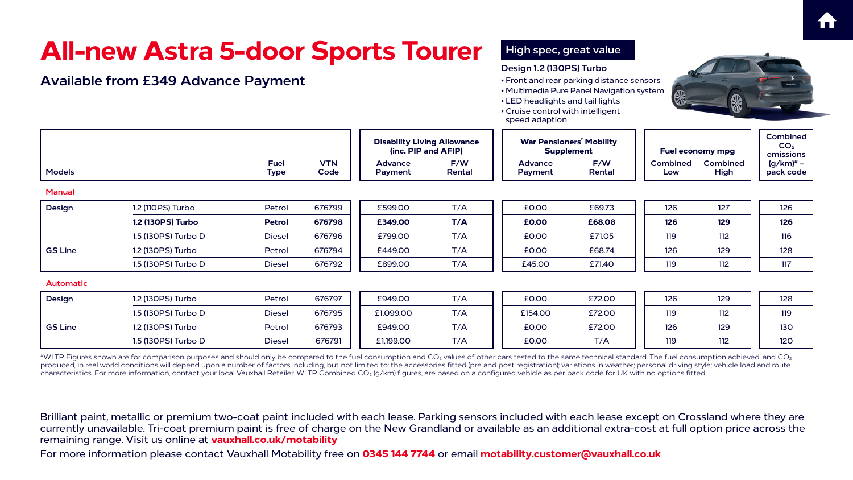For more information please contact Vauxhall Motability free on **0345 144 7744** or email **motability.customer@vauxhall.co.uk**

|  | <b>Tourer</b> |  |
|--|---------------|--|
|  |               |  |
|  |               |  |

## **All-new Astra 5-door Sports**

### **Available from £349 Advance Payment**



| $\sim$ |  |
|--------|--|
|        |  |
|        |  |
|        |  |
|        |  |
|        |  |





|                  |                          |                            |                    | <b>Disability Living Allowance</b><br>(inc. PIP and AFIP) |               | <b>War Pensioners' Mobility</b><br><b>Supplement</b> |               | <b>Fuel economy mpg</b> |                         | Combin<br>CO <sub>2</sub><br>emissio |  |
|------------------|--------------------------|----------------------------|--------------------|-----------------------------------------------------------|---------------|------------------------------------------------------|---------------|-------------------------|-------------------------|--------------------------------------|--|
| <b>Models</b>    |                          | <b>Fuel</b><br><b>Type</b> | <b>VTN</b><br>Code | <b>Advance</b><br>Payment                                 | F/W<br>Rental | <b>Advance</b><br>Payment                            | F/W<br>Rental | <b>Combined</b><br>Low  | <b>Combined</b><br>High | $(g/km)^{\#}$<br>pack co             |  |
| <b>Manual</b>    |                          |                            |                    |                                                           |               |                                                      |               |                         |                         |                                      |  |
| <b>Design</b>    | 1.2 (110PS) Turbo        | Petrol                     | 676799             | £599.00                                                   | T/A           | £0.00                                                | £69.73        | 126                     | 127                     | 126                                  |  |
|                  | <b>1.2 (130PS) Turbo</b> | <b>Petrol</b>              | 676798             | £349.00                                                   | T/A           | £0.00                                                | £68.08        | <b>126</b>              | 129                     | 126                                  |  |
|                  | 1.5 (130PS) Turbo D      | <b>Diesel</b>              | 676796             | £799.00                                                   | T/A           | £0.00                                                | £71.05        | 119                     | 112                     | 116                                  |  |
| <b>GS Line</b>   | 1.2 (130PS) Turbo        | Petrol                     | 676794             | £449.00                                                   | T/A           | £0.00                                                | £68.74        | 126                     | 129                     | 128                                  |  |
|                  | 1.5 (130PS) Turbo D      | <b>Diesel</b>              | 676792             | £899.00                                                   | T/A           | £45.00                                               | £71.40        | 119                     | 112                     | 117                                  |  |
| <b>Automatic</b> |                          |                            |                    |                                                           |               |                                                      |               |                         |                         |                                      |  |
| <b>Design</b>    | 1.2 (130PS) Turbo        | Petrol                     | 676797             | £949.00                                                   | T/A           | £0.00                                                | £72.00        | 126                     | 129                     | 128                                  |  |
|                  | 1.5 (130PS) Turbo D      | <b>Diesel</b>              | 676795             | £1,099.00                                                 | T/A           | £154.00                                              | £72.00        | 119                     | 112                     | 119                                  |  |
| <b>GS Line</b>   | 1.2 (130PS) Turbo        | Petrol                     | 676793             | £949.00                                                   | T/A           | £0.00                                                | £72.00        | 126                     | 129                     | 130                                  |  |
|                  | 1.5 (130PS) Turbo D      | <b>Diesel</b>              | 676791             | £1,199.00                                                 | T/A           | £0.00                                                | T/A           | 119                     | 112                     | <b>120</b>                           |  |

 $^{\#}$ WLTP Figures shown are for comparison purposes and should only be compared to the fuel consumption and CO<sub>2</sub> values of other cars tested to the same technical standard. The fuel consumption achieved, and CO<sub>2</sub> produced, in real world conditions will depend upon a number of factors including, but not limited to: the accessories fitted (pre and post registration); variations in weather; personal driving style; vehicle load and route characteristics. For more information, contact your local Vauxhall Retailer. WLTP Combined CO<sub>2</sub> (g/km) figures, are based on a configured vehicle as per pack code for UK with no options fitted.

### **High spec, great value**

### **Design 1.2 (130PS) Turbo**

- Front and rear parking distance sensors
- Multimedia Pure Panel Navigation system
- LED headlights and tail lights
- Cruise control with intelligent speed adaption



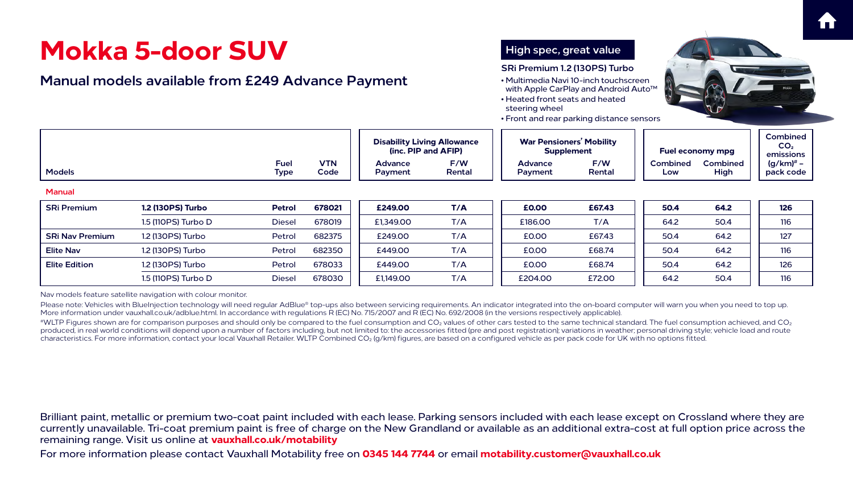For more information please contact Vauxhall Motability free on **0345 144 7744** or email **motability.customer@vauxhall.co.uk**









Nav models feature satellite navigation with colour monitor.

Please note: Vehicles with BlueInjection technology will need regular AdBlue® top-ups also between servicing requirements. An indicator integrated into the on-board computer will warn you when you need to top up. More information under [vauxhall.co.uk/adblue.html.](http://vauxhall.co.uk/adblue.html) In accordance with regulations R (EC) No. 715/2007 and R (EC) No. 692/2008 (in the versions respectively applicable).

 $^{\#}$ WLTP Figures shown are for comparison purposes and should only be compared to the fuel consumption and CO<sub>2</sub> values of other cars tested to the same technical standard. The fuel consumption achieved, and CO<sub>2</sub> produced, in real world conditions will depend upon a number of factors including, but not limited to: the accessories fitted (pre and post registration); variations in weather; personal driving style; vehicle load and route characteristics. For more information, contact your local Vauxhall Retailer. WLTP Combined CO<sub>2</sub> (g/km) figures, are based on a configured vehicle as per pack code for UK with no options fitted.

|                        | Mokka 5-door SUV<br><b>Manual models available from £249 Advance Payment</b> |               |                    |                                                           |               | High spec, great value<br>SRi Premium 1.2 (130PS) Turbo<br>• Multimedia Navi 10-inch touchscreen<br>with Apple CarPlay and Android Auto™<br>• Heated front seats and heated<br>steering wheel<br>• Front and rear parking distance sensors |               |                         |                         |                                             |
|------------------------|------------------------------------------------------------------------------|---------------|--------------------|-----------------------------------------------------------|---------------|--------------------------------------------------------------------------------------------------------------------------------------------------------------------------------------------------------------------------------------------|---------------|-------------------------|-------------------------|---------------------------------------------|
| <b>Fuel</b>            |                                                                              |               |                    | <b>Disability Living Allowance</b><br>(inc. PIP and AFIP) |               | <b>War Pensioners' Mobility</b><br><b>Supplement</b>                                                                                                                                                                                       |               | <b>Fuel economy mpg</b> |                         | <b>Combin</b><br>CO <sub>2</sub><br>emissio |
| <b>Models</b>          |                                                                              | <b>Type</b>   | <b>VTN</b><br>Code | <b>Advance</b><br>Payment                                 | F/W<br>Rental | <b>Advance</b><br><b>Payment</b>                                                                                                                                                                                                           | F/W<br>Rental | <b>Combined</b><br>Low  | <b>Combined</b><br>High | (g/km) <sup>#</sup><br>pack co              |
| <b>Manual</b>          |                                                                              |               |                    |                                                           |               |                                                                                                                                                                                                                                            |               |                         |                         |                                             |
| <b>SRi Premium</b>     | <b>1.2 (130PS) Turbo</b>                                                     | <b>Petrol</b> | 678021             | £249.00                                                   | T/A           | £0.00                                                                                                                                                                                                                                      | £67.43        | 50.4                    | 64.2                    | 126                                         |
|                        | 1.5 (110PS) Turbo D                                                          | <b>Diesel</b> | 678019             | £1,349.00                                                 | T/A           | £186.00                                                                                                                                                                                                                                    | T/A           | 64.2                    | 50.4                    | 116                                         |
| <b>SRi Nav Premium</b> | 1.2 (130PS) Turbo                                                            | Petrol        | 682375             | £249.00                                                   | T/A           | £0.00                                                                                                                                                                                                                                      | £67.43        | 50.4                    | 64.2                    | 127                                         |
| <b>Elite Nav</b>       | 1.2 (130PS) Turbo                                                            | Petrol        | 682350             | £449.00                                                   | T/A           | £0.00                                                                                                                                                                                                                                      | £68.74        | 50.4                    | 64.2                    | 116                                         |
| <b>Elite Edition</b>   | 1.2 (130PS) Turbo                                                            | Petrol        | 678033             | £449.00                                                   | T/A           | £0.00                                                                                                                                                                                                                                      | £68.74        | 50.4                    | 64.2                    | 126                                         |
|                        | 1.5 (110PS) Turbo D                                                          | <b>Diesel</b> | 678030             | £1,149.00                                                 | T/A           | £204.00                                                                                                                                                                                                                                    | £72.00        | 64.2                    | 50.4                    | 116                                         |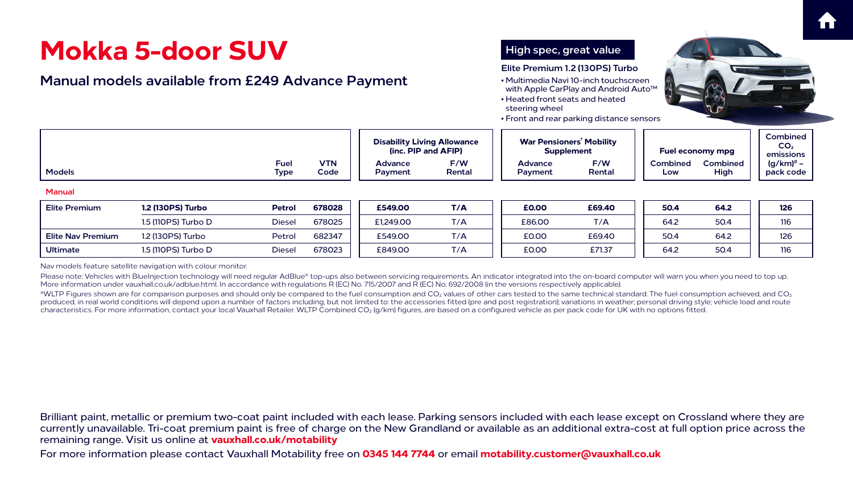For more information please contact Vauxhall Motability free on **0345 144 7744** or email **motability.customer@vauxhall.co.uk**











#WLTP Figures shown are for comparison purposes and should only be compared to the fuel consumption and CO<sub>2</sub> values of other cars tested to the same technical standard. The fuel consumption achieved, and CO<sub>2</sub> produced, in real world conditions will depend upon a number of factors including, but not limited to: the accessories fitted (pre and post registration); variations in weather; personal driving style; vehicle load and route characteristics. For more information, contact your local Vauxhall Retailer. WLTP Combined CO2 (g/km) figures, are based on a configured vehicle as per pack code for UK with no options fitted.

Nav models feature satellite navigation with colour monitor.

Please note: Vehicles with BlueInjection technology will need regular AdBlue® top-ups also between servicing requirements. An indicator integrated into the on-board computer will warn you when you need to top up. More information under [vauxhall.co.uk/adblue.html.](http://vauxhall.co.uk/adblue.html) In accordance with regulations R (EC) No. 715/2007 and R (EC) No. 692/2008 (in the versions respectively applicable).

|                          | Mokka 5-door SUV                                         |                            | High spec, great value |                                                           |               |                                                                                                                                                                                                                                |               |                        |                         |                                      |
|--------------------------|----------------------------------------------------------|----------------------------|------------------------|-----------------------------------------------------------|---------------|--------------------------------------------------------------------------------------------------------------------------------------------------------------------------------------------------------------------------------|---------------|------------------------|-------------------------|--------------------------------------|
|                          | <b>Manual models available from £249 Advance Payment</b> |                            |                        |                                                           |               | Elite Premium 1.2 (130PS) Turbo<br>• Multimedia Navi 10-inch touchscreen<br>with Apple CarPlay and Android Auto <sup>™</sup><br>• Heated front seats and heated<br>steering wheel<br>• Front and rear parking distance sensors |               |                        |                         |                                      |
|                          |                                                          |                            |                        | <b>Disability Living Allowance</b><br>(inc. PIP and AFIP) |               | <b>War Pensioners' Mobility</b><br><b>Supplement</b>                                                                                                                                                                           |               |                        | <b>Fuel economy mpg</b> | Combin<br>CO <sub>2</sub><br>emissio |
| <b>Models</b>            |                                                          | <b>Fuel</b><br><b>Type</b> | <b>VTN</b><br>Code     | <b>Advance</b><br>Payment                                 | F/W<br>Rental | <b>Advance</b><br>Payment                                                                                                                                                                                                      | F/W<br>Rental | <b>Combined</b><br>Low | Combined<br>High        | (g/km) <sup>#</sup><br>pack co       |
| <b>Manual</b>            |                                                          |                            |                        |                                                           |               |                                                                                                                                                                                                                                |               |                        |                         |                                      |
| <b>Elite Premium</b>     | <b>1.2 (130PS) Turbo</b>                                 | <b>Petrol</b>              | 678028                 | £549,00                                                   | T/A           | <b>£0.00</b>                                                                                                                                                                                                                   | £69.40        | 50.4                   | 64.2                    | 126                                  |
|                          | 1.5 (110PS) Turbo D                                      | <b>Diesel</b>              | 678025                 | £1,249.00                                                 | T/A           | £86.00                                                                                                                                                                                                                         | T/A           | 64.2                   | 50.4                    | 116                                  |
| <b>Elite Nav Premium</b> | 1.2 (130PS) Turbo                                        | Petrol                     | 682347                 | £549.00                                                   | T/A           | £0.00                                                                                                                                                                                                                          | £69.40        | 50.4                   | 64.2                    | 126                                  |
| <b>Ultimate</b>          | 1.5 (110PS) Turbo D                                      | <b>Diesel</b>              | 678023                 | £849.00                                                   | T/A           | £0.00                                                                                                                                                                                                                          | £71.37        | 64.2                   | 50.4                    | 116                                  |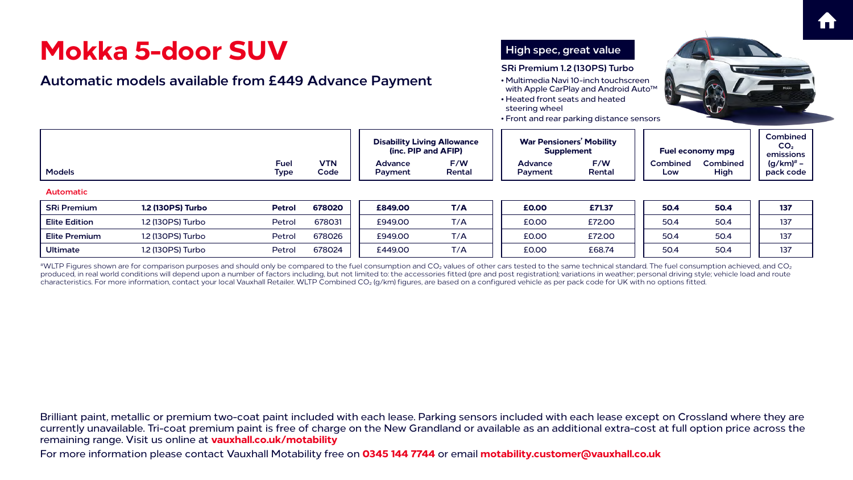For more information please contact Vauxhall Motability free on **0345 144 7744** or email **motability.customer@vauxhall.co.uk**











 $^{*\!}$ WLTP Figures shown are for comparison purposes and should only be compared to the fuel consumption and CO<sub>2</sub> values of other cars tested to the same technical standard. The fuel consumption achieved, and CO<sub>2</sub> produced, in real world conditions will depend upon a number of factors including, but not limited to: the accessories fitted (pre and post registration); variations in weather; personal driving style; vehicle load and route characteristics. For more information, contact your local Vauxhall Retailer. WLTP Combined CO2 (g/km) figures, are based on a configured vehicle as per pack code for UK with no options fitted.

|                      | <b>Mokka 5-door SUV</b><br><b>Automatic models available from £449 Advance Payment</b> |                            |                    |                                                           |               | High spec, great value<br>SRi Premium 1.2 (130PS) Turbo<br>• Multimedia Navi 10-inch touchscreen<br>with Apple CarPlay and Android Auto <sup>™</sup><br>• Heated front seats and heated<br>steering wheel<br>• Front and rear parking distance sensors |               |                        |                         |                                             |
|----------------------|----------------------------------------------------------------------------------------|----------------------------|--------------------|-----------------------------------------------------------|---------------|--------------------------------------------------------------------------------------------------------------------------------------------------------------------------------------------------------------------------------------------------------|---------------|------------------------|-------------------------|---------------------------------------------|
|                      |                                                                                        |                            |                    | <b>Disability Living Allowance</b><br>(inc. PIP and AFIP) |               | <b>War Pensioners' Mobility</b><br><b>Supplement</b>                                                                                                                                                                                                   |               |                        | <b>Fuel economy mpg</b> | <b>Combin</b><br>CO <sub>2</sub><br>emissio |
| <b>Models</b>        |                                                                                        | <b>Fuel</b><br><b>Type</b> | <b>VTN</b><br>Code | <b>Advance</b><br>Payment                                 | F/W<br>Rental | <b>Advance</b><br>Payment                                                                                                                                                                                                                              | F/W<br>Rental | <b>Combined</b><br>Low | Combined<br>High        | (g/km) <sup>#</sup><br>pack co              |
| <b>Automatic</b>     |                                                                                        |                            |                    |                                                           |               |                                                                                                                                                                                                                                                        |               |                        |                         |                                             |
| <b>SRi Premium</b>   | <b>1.2 (130PS) Turbo</b>                                                               | <b>Petrol</b>              | 678020             | £849.00                                                   | T/A           | <b>£0.00</b>                                                                                                                                                                                                                                           | £71.37        | 50.4                   | 50.4                    | 137                                         |
| <b>Elite Edition</b> | 1.2 (130PS) Turbo                                                                      | Petrol                     | 678031             | £949.00                                                   | T/A           | £0.00                                                                                                                                                                                                                                                  | £72.00        | 50.4                   | 50.4                    | 137                                         |
| <b>Elite Premium</b> | 1.2 (130PS) Turbo                                                                      | Petrol                     | 678026             | £949.00                                                   | T/A           | £0.00                                                                                                                                                                                                                                                  | £72.00        | 50.4                   | 50.4                    | 137                                         |
| <b>Ultimate</b>      | 1.2 (130PS) Turbo                                                                      | Petrol                     | 678024             | £449.00                                                   | T/A           | £0.00                                                                                                                                                                                                                                                  | £68.74        | 50.4                   | 50.4                    | 137                                         |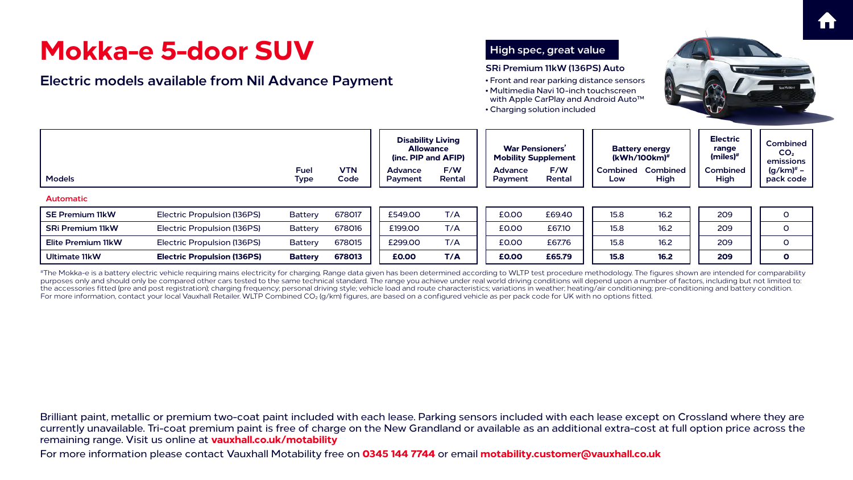For more information please contact Vauxhall Motability free on **0345 144 7744** or email **motability.customer@vauxhall.co.uk**





#The Mokka-e is a battery electric vehicle requiring mains electricity for charging. Range data given has been determined according to WLTP test procedure methodology. The figures shown are intended for comparability purposes only and should only be compared other cars tested to the same technical standard. The range you achieve under real world driving conditions will depend upon a number of factors, including but not limited to: the accessories fitted (pre and post registration); charging frequency; personal driving style; vehicle load and route characteristics; variations in weather; heating/air conditioning; pre-conditioning and battery condition. For more information, contact your local Vauxhall Retailer. WLTP Combined CO<sub>2</sub> (g/km) figures, are based on a configured vehicle as per pack code for UK with no options fitted.









|                                                           | Mokka-e 5-door SUV                                                                                                                                                                                      |                            | High spec, great value |                                                                     |               |                                                      |               |                 |                                             |                                                    |                                      |
|-----------------------------------------------------------|---------------------------------------------------------------------------------------------------------------------------------------------------------------------------------------------------------|----------------------------|------------------------|---------------------------------------------------------------------|---------------|------------------------------------------------------|---------------|-----------------|---------------------------------------------|----------------------------------------------------|--------------------------------------|
| <b>Electric models available from Nil Advance Payment</b> | SRi Premium 11kW (136PS) Auto<br>• Front and rear parking distance sensors<br>• Multimedia Navi 10-inch touchscreen<br>with Apple CarPlay and Android Auto <sup>™</sup><br>• Charging solution included |                            |                        |                                                                     |               |                                                      |               |                 |                                             |                                                    |                                      |
|                                                           |                                                                                                                                                                                                         |                            |                        | <b>Disability Living</b><br><b>Allowance</b><br>(inc. PIP and AFIP) |               | <b>War Pensioners'</b><br><b>Mobility Supplement</b> |               |                 | <b>Battery energy</b><br>$(kWh/100km)^{\#}$ | <b>Electric</b><br>range<br>$(miles)$ <sup>#</sup> | Combin<br>CO <sub>2</sub><br>emissio |
| <b>Models</b>                                             |                                                                                                                                                                                                         | <b>Fuel</b><br><b>Type</b> | <b>VTN</b><br>Code     | <b>Advance</b><br>Payment                                           | F/W<br>Rental | <b>Advance</b><br>Payment                            | F/W<br>Rental | Combined<br>Low | <b>Combined</b><br>High                     | <b>Combined</b><br>High                            | (g/km) <sup>#</sup><br>pack co       |
| <b>Automatic</b>                                          |                                                                                                                                                                                                         |                            |                        |                                                                     |               |                                                      |               |                 |                                             |                                                    |                                      |
| <b>SE Premium 11kW</b>                                    | Electric Propulsion (136PS)                                                                                                                                                                             | <b>Battery</b>             | 678017                 | £549.00                                                             | T/A           | £0.00                                                | £69.40        | 15.8            | 16.2                                        | 209                                                | $\overline{O}$                       |
| <b>SRi Premium 11kW</b>                                   | <b>Electric Propulsion (136PS)</b>                                                                                                                                                                      | Battery                    | 678016                 | £199.00                                                             | T/A           | £0.00                                                | £67.10        | 15.8            | 16.2                                        | 209                                                | $\mathbf{O}$                         |
| <b>Elite Premium 11kW</b>                                 | Electric Propulsion (136PS)                                                                                                                                                                             | <b>Battery</b>             | 678015                 | £299.00                                                             | T/A           | £0.00                                                | £67.76        | 15.8            | 16.2                                        | 209                                                | $\mathbf{O}$                         |
|                                                           | <b>Electric Propulsion (136PS)</b>                                                                                                                                                                      | <b>Battery</b>             | 678013                 | <b>£0.00</b>                                                        | T/A           | <b>£0.00</b>                                         | £65.79        | 15.8            | 16.2                                        | 209                                                | $\mathbf{O}$                         |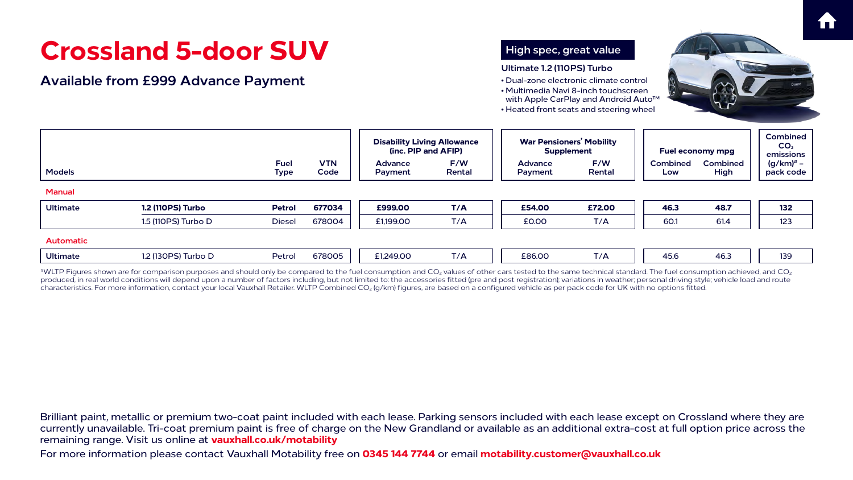For more information please contact Vauxhall Motability free on **0345 144 7744** or email **motability.customer@vauxhall.co.uk**

## **Crossland 5-door SUV**

### **Available from £999 Advance Payment**









| <b>Models</b><br><b>Manual</b> |                          | <b>Fuel</b><br><b>Type</b> | <b>VTN</b><br>Code | <b>Disability</b><br>(inc. P<br><b>Advance</b><br>Payment |
|--------------------------------|--------------------------|----------------------------|--------------------|-----------------------------------------------------------|
| <b>Ultimate</b>                | <b>1.2 (110PS) Turbo</b> | <b>Petrol</b>              | 677034             | £999.00                                                   |
|                                | 1.5 (110PS) Turbo D      | <b>Diesel</b>              | 678004             | £1,199.00                                                 |
| <b>Automatic</b>               |                          |                            |                    |                                                           |
| <b>Ultimate</b>                | 1.2 (130PS) Turbo D      | Petrol                     | 678005             | £1,249.00                                                 |
|                                |                          |                            |                    |                                                           |

 $^{\#}$ WLTP Figures shown are for comparison purposes and should only be compared to the fuel consumption and CO<sub>2</sub> values of other cars tested to the same technical standard. The fuel consumption achieved, and CO<sub>2</sub> produced, in real world conditions will depend upon a number of factors including, but not limited to: the accessories fitted (pre and post registration); variations in weather; personal driving style; vehicle load and route characteristics. For more information, contact your local Vauxhall Retailer. WLTP Combined CO<sub>2</sub> (g/km) figures, are based on a configured vehicle as per pack code for UK with no options fitted.

|                  | Crossland 5-door SUV<br><b>Available from £999 Advance Payment</b> | High spec, great value<br>Ultimate 1.2 (110PS) Turbo<br>• Dual-zone electronic climate control<br>• Multimedia Navi 8-inch touchscreen<br>with Apple CarPlay and Android Auto <sup>™</sup><br>• Heated front seats and steering wheel |                    |                                                           |               |                                                      |               |                         |                         |                                             |
|------------------|--------------------------------------------------------------------|---------------------------------------------------------------------------------------------------------------------------------------------------------------------------------------------------------------------------------------|--------------------|-----------------------------------------------------------|---------------|------------------------------------------------------|---------------|-------------------------|-------------------------|---------------------------------------------|
|                  |                                                                    |                                                                                                                                                                                                                                       |                    | <b>Disability Living Allowance</b><br>(inc. PIP and AFIP) |               | <b>War Pensioners' Mobility</b><br><b>Supplement</b> |               | <b>Fuel economy mpg</b> |                         | <b>Combin</b><br>CO <sub>2</sub><br>emissio |
| <b>Models</b>    |                                                                    | <b>Fuel</b><br><b>Type</b>                                                                                                                                                                                                            | <b>VTN</b><br>Code | <b>Advance</b><br><b>Payment</b>                          | F/W<br>Rental | <b>Advance</b><br>Payment                            | F/W<br>Rental | <b>Combined</b><br>Low  | <b>Combined</b><br>High | (g/km) <sup>#</sup><br>pack co              |
| <b>Manual</b>    |                                                                    |                                                                                                                                                                                                                                       |                    |                                                           |               |                                                      |               |                         |                         |                                             |
| <b>Ultimate</b>  | <b>1.2 (110PS) Turbo</b>                                           | <b>Petrol</b>                                                                                                                                                                                                                         | 677034             | £999.00                                                   | T/A           | £54.00                                               | £72.00        | 46.3                    | 48.7                    | 132                                         |
|                  | 1.5 (110PS) Turbo D                                                | <b>Diesel</b>                                                                                                                                                                                                                         | 678004             | £1,199.00                                                 | T/A           | £0.00                                                | T/A           | 60.1                    | 61.4                    | 123                                         |
| <b>Automatic</b> |                                                                    |                                                                                                                                                                                                                                       |                    |                                                           |               |                                                      |               |                         |                         |                                             |
| <b>Ultimate</b>  | 1.2 (130PS) Turbo D                                                | Petrol                                                                                                                                                                                                                                | 678005             | £1,249.00                                                 | T/A           | £86.00                                               | T/A           | 45.6                    | 46.3                    | 139                                         |
|                  |                                                                    |                                                                                                                                                                                                                                       |                    |                                                           |               |                                                      |               |                         |                         |                                             |



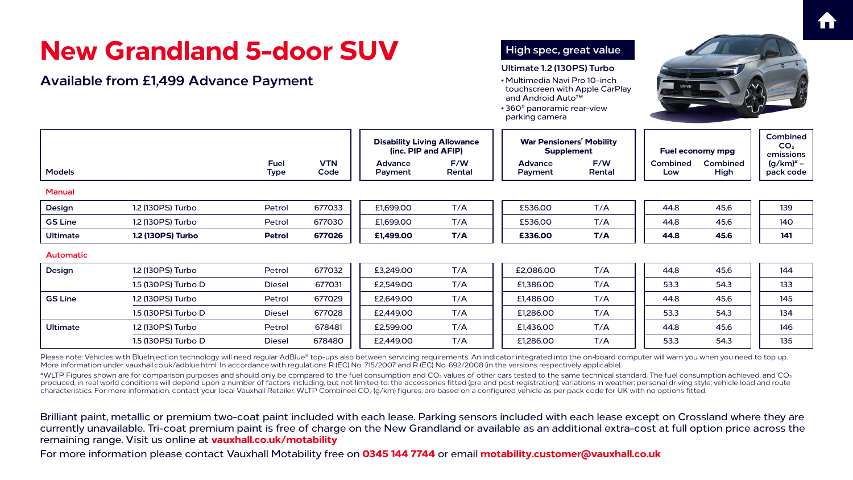For more information please contact Vauxhall Motability free on **0345 144 7744** or email **motability.customer@vauxhall.co.uk**













|                  | <b>New Grandland 5-door SUV</b><br><b>Available from £1,499 Advance Payment</b> |                            |                    |                           |                                                           | High spec, great value<br>Ultimate 1.2 (130PS) Turbo<br>• Multimedia Navi Pro 10-inch<br>touchscreen with Apple CarPlay<br>and Android Auto <sup>™</sup><br>• 360° panoramic rear-view<br>parking camera |                                                      |                         |                         |                                                 |
|------------------|---------------------------------------------------------------------------------|----------------------------|--------------------|---------------------------|-----------------------------------------------------------|----------------------------------------------------------------------------------------------------------------------------------------------------------------------------------------------------------|------------------------------------------------------|-------------------------|-------------------------|-------------------------------------------------|
|                  |                                                                                 |                            |                    |                           | <b>Disability Living Allowance</b><br>(inc. PIP and AFIP) |                                                                                                                                                                                                          | <b>War Pensioners' Mobility</b><br><b>Supplement</b> | <b>Fuel economy mpg</b> |                         | <b>Combined</b><br>CO <sub>2</sub><br>emissions |
| <b>Models</b>    |                                                                                 | <b>Fuel</b><br><b>Type</b> | <b>VTN</b><br>Code | <b>Advance</b><br>Payment | F/W<br>Rental                                             | <b>Advance</b><br>Payment                                                                                                                                                                                | F/W<br>Rental                                        | <b>Combined</b><br>Low  | <b>Combined</b><br>High | $(g/km)^*$ –<br>pack code                       |
| <b>Manual</b>    |                                                                                 |                            |                    |                           |                                                           |                                                                                                                                                                                                          |                                                      |                         |                         |                                                 |
| <b>Design</b>    | 1.2 (130PS) Turbo                                                               | Petrol                     | 677033             | £1,699.00                 | T/A                                                       | £536.00                                                                                                                                                                                                  | T/A                                                  | 44.8                    | 45.6                    | 139                                             |
| <b>GS Line</b>   | 1.2 (130PS) Turbo                                                               | Petrol                     | 677030             | £1,699.00                 | T/A                                                       | £536.00                                                                                                                                                                                                  | T/A                                                  | 44.8                    | 45.6                    | <b>140</b>                                      |
| <b>Ultimate</b>  | <b>1.2 (130PS) Turbo</b>                                                        | <b>Petrol</b>              | 677026             | £1,499.00                 | T/A                                                       | £336.00                                                                                                                                                                                                  | T/A                                                  | 44.8                    | 45.6                    | 141                                             |
| <b>Automatic</b> |                                                                                 |                            |                    |                           |                                                           |                                                                                                                                                                                                          |                                                      |                         |                         |                                                 |
| <b>Design</b>    | 1.2 (130PS) Turbo                                                               | Petrol                     | 677032             | £3,249.00                 | T/A                                                       | £2,086.00                                                                                                                                                                                                | T/A                                                  | 44.8                    | 45.6                    | 144                                             |
|                  | 1.5 (130PS) Turbo D                                                             | <b>Diesel</b>              | 677031             | £2,549.00                 | T/A                                                       | £1,386.00                                                                                                                                                                                                | T/A                                                  | 53.3                    | 54.3                    | 133                                             |
| <b>GS Line</b>   | 1.2 (130PS) Turbo                                                               | Petrol                     | 677029             | £2,649.00                 | T/A                                                       | £1,486.00                                                                                                                                                                                                | T/A                                                  | 44.8                    | 45.6                    | 145                                             |
|                  | 1.5 (130PS) Turbo D                                                             | <b>Diesel</b>              | 677028             | £2,449.00                 | T/A                                                       | £1,286.00                                                                                                                                                                                                | T/A                                                  | 53.3                    | 54.3                    | 134                                             |
| <b>Ultimate</b>  | 1.2 (130PS) Turbo                                                               | Petrol                     | 678481             | £2,599.00                 | T/A                                                       | £1,436.00                                                                                                                                                                                                | T/A                                                  | 44.8                    | 45.6                    | 146                                             |
|                  | 1.5 (130PS) Turbo D                                                             | <b>Diesel</b>              | 678480             | £2,449.00                 | T/A                                                       | £1,286.00                                                                                                                                                                                                | T/A                                                  | 53.3                    | 54.3                    | 135                                             |

Please note: Vehicles with BlueInjection technology will need regular AdBlue® top-ups also between servicing requirements. An indicator integrated into the on-board computer will warn you when you need to top up. More information under [vauxhall.co.uk/adblue.html.](http://vauxhall.co.uk/adblue.html) In accordance with regulations R (EC) No. 715/2007 and R (EC) No. 692/2008 (in the versions respectively applicable).

 $^{*\!}$ WLTP Figures shown are for comparison purposes and should only be compared to the fuel consumption and CO<sub>2</sub> values of other cars tested to the same technical standard. The fuel consumption achieved, and CO<sub>2</sub> produced, in real world conditions will depend upon a number of factors including, but not limited to: the accessories fitted (pre and post registration); variations in weather; personal driving style; vehicle load and route characteristics. For more information, contact your local Vauxhall Retailer. WLTP Combined CO<sub>2</sub> (g/km) figures, are based on a configured vehicle as per pack code for UK with no options fitted.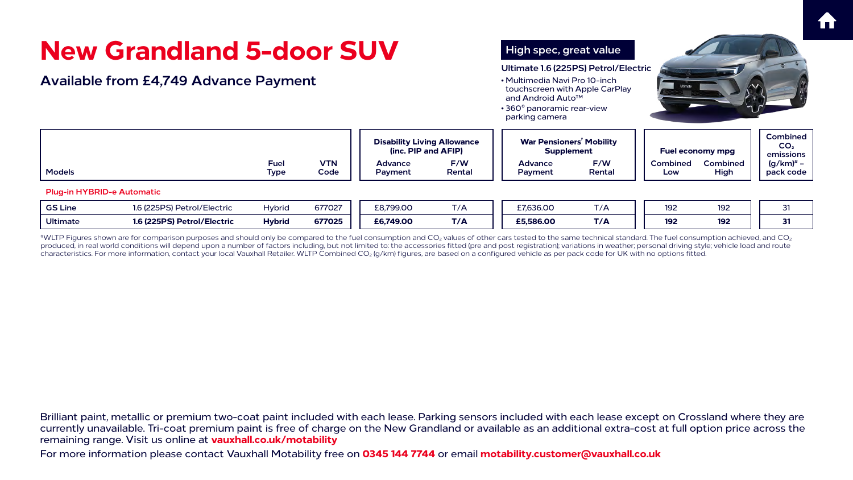For more information please contact Vauxhall Motability free on **0345 144 7744** or email **motability.customer@vauxhall.co.uk**









<sup>#</sup>WLTP Figures shown are for comparison purposes and should only be compared to the fuel consumption and CO<sub>2</sub> values of other cars tested to the same technical standard. The fuel consumption achieved, and CO<sub>2</sub> produced, in real world conditions will depend upon a number of factors including, but not limited to: the accessories fitted (pre and post registration); variations in weather; personal driving style; vehicle load and route characteristics. For more information, contact your local Vauxhall Retailer. WLTP Combined CO2 (g/km) figures, are based on a configured vehicle as per pack code for UK with no options fitted.

|                 | <b>New Grandland 5-door SUV</b>              |                                                                                                                                                                                          | High spec, great value |                                                           |               |                                                      |                      |                        |                                |                                               |
|-----------------|----------------------------------------------|------------------------------------------------------------------------------------------------------------------------------------------------------------------------------------------|------------------------|-----------------------------------------------------------|---------------|------------------------------------------------------|----------------------|------------------------|--------------------------------|-----------------------------------------------|
|                 | <b>Available from £4,749 Advance Payment</b> | Ultimate 1.6 (225PS) Petrol/Electric<br>• Multimedia Navi Pro 10-inch<br>touchscreen with Apple CarPlay<br>and Android Auto <sup>™</sup><br>• 360° panoramic rear-view<br>parking camera |                        |                                                           |               |                                                      |                      |                        |                                |                                               |
|                 |                                              |                                                                                                                                                                                          |                        | <b>Disability Living Allowance</b><br>(inc. PIP and AFIP) |               | <b>War Pensioners' Mobility</b><br><b>Supplement</b> |                      |                        | <b>Fuel economy mpg</b>        | <b>Combine</b><br>CO <sub>2</sub><br>emission |
| <b>Models</b>   |                                              | <b>Fuel</b><br><b>Type</b>                                                                                                                                                               | <b>VTN</b><br>Code     | <b>Advance</b><br>Payment                                 | F/W<br>Rental | <b>Advance</b><br>Payment                            | F/W<br><b>Rental</b> | <b>Combined</b><br>Low | <b>Combined</b><br><b>High</b> | $(g/km)^{\#}$<br>pack co                      |
|                 | <b>Plug-in HYBRID-e Automatic</b>            |                                                                                                                                                                                          |                        |                                                           |               |                                                      |                      |                        |                                |                                               |
| <b>GS Line</b>  | 1.6 (225PS) Petrol/Electric                  | <b>Hybrid</b>                                                                                                                                                                            | 677027                 | £8,799.00                                                 | T/A           | £7,636.00                                            | T/A                  | 192                    | 192                            | 31                                            |
| <b>Ultimate</b> | 1.6 (225PS) Petrol/Electric                  | <b>Hybrid</b>                                                                                                                                                                            | 677025                 | £6,749.00                                                 | T/A           | £5,586.00                                            | T/A                  | 192                    | 192                            | 31                                            |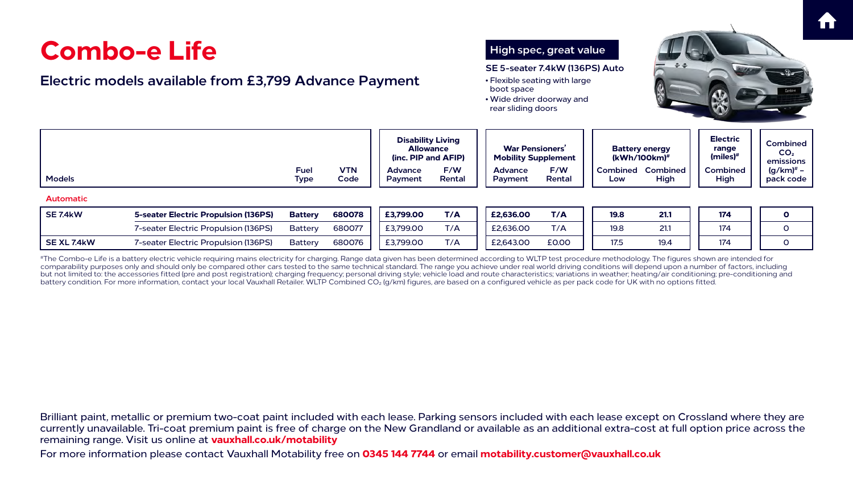For more information please contact Vauxhall Motability free on **0345 144 7744** or email **motability.customer@vauxhall.co.uk**





## **Combo-e Life**

#The Combo-e Life is a battery electric vehicle requiring mains electricity for charging. Range data given has been determined according to WLTP test procedure methodology. The figures shown are intended for comparability purposes only and should only be compared other cars tested to the same technical standard. The range you achieve under real world driving conditions will depend upon a number of factors, including but not limited to: the accessories fitted (pre and post registration); charging frequency; personal driving style; vehicle load and route characteristics; variations in weather; heating/air conditioning; pre-conditioning battery condition. For more information, contact your local Vauxhall Retailer. WLTP Combined CO<sub>2</sub> (g/km) figures, are based on a configured vehicle as per pack code for UK with no options fitted.







| <b>Combo-e Life</b><br>Electric models available from £3,799 Advance Payment |                                             |                            |                    |                                                                     |               | High spec, great value<br>SE 5-seater 7.4kW (136PS) Auto<br>• Flexible seating with large<br>boot space<br>• Wide driver doorway and<br>rear sliding doors |               |                                             |                                  |                                                    |                                      |
|------------------------------------------------------------------------------|---------------------------------------------|----------------------------|--------------------|---------------------------------------------------------------------|---------------|------------------------------------------------------------------------------------------------------------------------------------------------------------|---------------|---------------------------------------------|----------------------------------|----------------------------------------------------|--------------------------------------|
|                                                                              |                                             |                            |                    | <b>Disability Living</b><br><b>Allowance</b><br>(inc. PIP and AFIP) |               | <b>War Pensioners'</b><br><b>Mobility Supplement</b>                                                                                                       |               | <b>Battery energy</b><br>$(kWh/100km)^{\#}$ |                                  | <b>Electric</b><br>range<br>$(miles)$ <sup>#</sup> | Combin<br>CO <sub>2</sub><br>emissio |
| <b>Models</b>                                                                |                                             | <b>Fuel</b><br><b>Type</b> | <b>VTN</b><br>Code | <b>Advance</b><br>Payment                                           | F/W<br>Rental | <b>Advance</b><br>Payment                                                                                                                                  | F/W<br>Rental | Low                                         | <b>Combined Combined</b><br>High | <b>Combined</b><br>High                            | (g/km) <sup>#</sup><br>pack co       |
| <b>Automatic</b>                                                             |                                             |                            |                    |                                                                     |               |                                                                                                                                                            |               |                                             |                                  |                                                    |                                      |
| <b>SE 7.4kW</b>                                                              | <b>5-seater Electric Propulsion (136PS)</b> | <b>Battery</b>             | 680078             | £3,799.00                                                           | T/A           | £2,636.00                                                                                                                                                  | T/A           | <b>19.8</b>                                 | 21.1                             | 174                                                | $\mathbf 0$                          |
|                                                                              | 7-seater Electric Propulsion (136PS)        | <b>Battery</b>             | 680077             | £3,799.00                                                           | T/A           | £2,636.00                                                                                                                                                  | T/A           | 19.8                                        | 21.1                             | 174                                                | $\overline{O}$                       |
| <b>SEXL 7.4kW</b>                                                            | 7-seater Electric Propulsion (136PS)        | <b>Battery</b>             | 680076             | £3,799.00                                                           | T/A           | £2,643.00                                                                                                                                                  | £0.00         | 17.5                                        | 19.4                             | 174                                                | $\overline{O}$                       |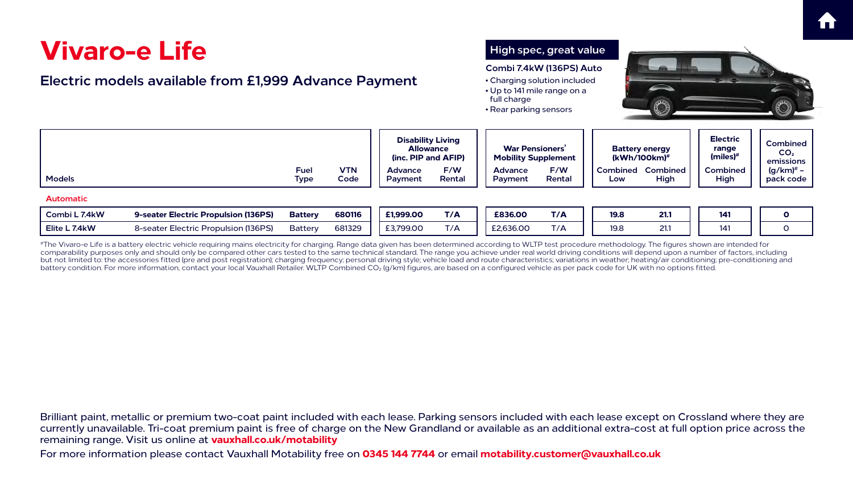For more information please contact Vauxhall Motability free on **0345 144 7744** or email **motability.customer@vauxhall.co.uk**



## **Vivaro-e Life**

#The Vivaro-e Life is a battery electric vehicle requiring mains electricity for charging. Range data given has been determined according to WLTP test procedure methodology. The figures shown are intended for comparability purposes only and should only be compared other cars tested to the same technical standard. The range you achieve under real world driving conditions will depend upon a number of factors, including but not limited to: the accessories fitted (pre and post registration); charging frequency; personal driving style; vehicle load and route characteristics; variations in weather; heating/air conditioning; pre-conditioning battery condition. For more information, contact your local Vauxhall Retailer. WLTP Combined CO<sub>2</sub> (g/km) figures, are based on a configured vehicle as per pack code for UK with no options fitted.

| <b>Vivaro-e Life</b><br>Electric models available from £1,999 Advance Payment | High spec, great value<br>Combi 7.4kW (136PS) Auto<br>• Charging solution included<br>$\Rightarrow$ $\Rightarrow$<br>• Up to 141 mile range on a<br>full charge<br>• Rear parking sensors |                    |                                                                     |               |                                                      |               |             |                                             |                                                                                                                |                                   |
|-------------------------------------------------------------------------------|-------------------------------------------------------------------------------------------------------------------------------------------------------------------------------------------|--------------------|---------------------------------------------------------------------|---------------|------------------------------------------------------|---------------|-------------|---------------------------------------------|----------------------------------------------------------------------------------------------------------------|-----------------------------------|
|                                                                               |                                                                                                                                                                                           |                    | <b>Disability Living</b><br><b>Allowance</b><br>(inc. PIP and AFIP) |               | <b>War Pensioners'</b><br><b>Mobility Supplement</b> |               |             | <b>Battery energy</b><br>$(kWh/100km)^{\#}$ | <b>Electric</b><br>range<br>(miles) <sup>#</sup><br>emissior<br><b>Combined</b><br>High<br>141<br>$\mathbf{O}$ | <b>Combine</b><br>CO <sub>2</sub> |
| <b>Models</b>                                                                 | <b>Fuel</b><br><b>Type</b>                                                                                                                                                                | <b>VTN</b><br>Code | <b>Advance</b><br>Payment                                           | F/W<br>Rental | <b>Advance</b><br>Payment                            | F/W<br>Rental | Low         | <b>Combined Combined</b><br>High            |                                                                                                                | $(g/km)^{*}$<br>pack cod          |
| <b>Automatic</b>                                                              |                                                                                                                                                                                           |                    |                                                                     |               |                                                      |               |             |                                             |                                                                                                                |                                   |
| Combi L 7.4kW<br>9-seater Electric Propulsion (136PS)                         | <b>Battery</b>                                                                                                                                                                            | 680116             | £1,999.00                                                           | T/A           | £836.00                                              | T/A           | <b>19.8</b> | 21.1                                        |                                                                                                                |                                   |
| 8-seater Electric Propulsion (136PS)<br>Elite L 7.4kW                         | <b>Battery</b>                                                                                                                                                                            | 681329             | £3,799.00                                                           | T/A           | £2,636.00                                            | T/A           | 19.8        | 21.1                                        | 141                                                                                                            | $\overline{O}$                    |

| <b>Vivaro-e Life</b><br>Electric models available from £1,999 Advance Payment |                                      |                            |                    |                           |                                                                     | High spec, great value<br>Combi 7.4kW (136PS) Auto<br>• Charging solution included<br>$\Rightarrow$ $\Rightarrow$<br>• Up to 141 mile range on a<br>full charge<br>• Rear parking sensors |               |             |                                             |                                                  |                                        |  |
|-------------------------------------------------------------------------------|--------------------------------------|----------------------------|--------------------|---------------------------|---------------------------------------------------------------------|-------------------------------------------------------------------------------------------------------------------------------------------------------------------------------------------|---------------|-------------|---------------------------------------------|--------------------------------------------------|----------------------------------------|--|
|                                                                               |                                      |                            |                    |                           | <b>Disability Living</b><br><b>Allowance</b><br>(inc. PIP and AFIP) | <b>War Pensioners'</b><br><b>Mobility Supplement</b>                                                                                                                                      |               |             | <b>Battery energy</b><br>$(kWh/100km)^{\#}$ | <b>Electric</b><br>range<br>(miles) <sup>#</sup> | Combine<br>CO <sub>2</sub><br>emissior |  |
| <b>Models</b>                                                                 |                                      | <b>Fuel</b><br><b>Type</b> | <b>VTN</b><br>Code | <b>Advance</b><br>Payment | F/W<br>Rental                                                       | <b>Advance</b><br><b>Payment</b>                                                                                                                                                          | F/W<br>Rental | Low         | <b>Combined Combined</b><br>High            | <b>Combined</b><br>High                          | $(g/km)^{\#}$<br>pack cod              |  |
| <b>Automatic</b>                                                              |                                      |                            |                    |                           |                                                                     |                                                                                                                                                                                           |               |             |                                             |                                                  |                                        |  |
| Combi L 7.4kW                                                                 | 9-seater Electric Propulsion (136PS) | <b>Battery</b>             | 680116             | £1,999.00                 | T/A                                                                 | £836.00                                                                                                                                                                                   | T/A           | <b>19.8</b> | 21.1                                        | 141                                              | $\mathbf O$                            |  |
| Elite L 7.4kW                                                                 | 8-seater Electric Propulsion (136PS) | <b>Battery</b>             | 681329             | £3,799.00                 | T/A                                                                 | £2,636.00                                                                                                                                                                                 | T/A           | 19.8        | 21.1                                        | 141                                              | $\overline{O}$                         |  |
|                                                                               |                                      |                            |                    |                           |                                                                     |                                                                                                                                                                                           |               |             |                                             |                                                  |                                        |  |



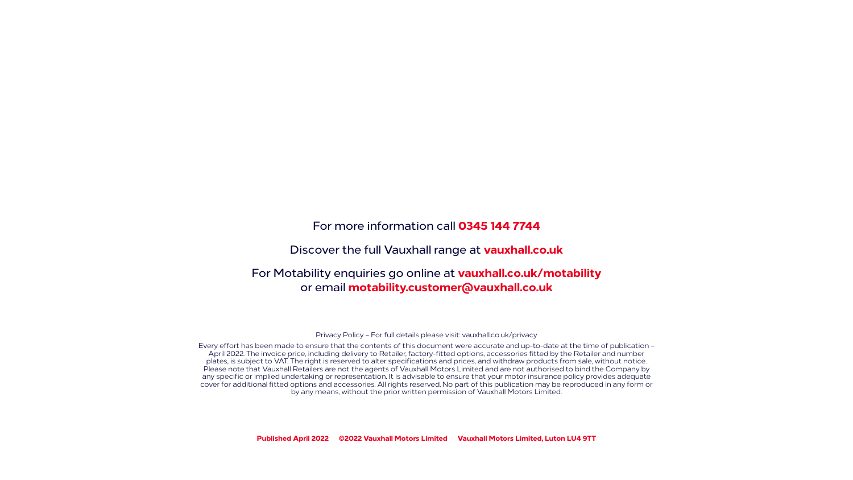Privacy Policy – For full details please visit: [vauxhall.co.uk/privacy](http://vauxhall.co.uk/privacy)

Every effort has been made to ensure that the contents of this document were accurate and up-to-date at the time of publication – April 2022. The invoice price, including delivery to Retailer, factory-fitted options, accessories fitted by the Retailer and number plates, is subject to VAT. The right is reserved to alter specifications and prices, and withdraw products from sale, without notice. Please note that Vauxhall Retailers are not the agents of Vauxhall Motors Limited and are not authorised to bind the Company by any specific or implied undertaking or representation. It is advisable to ensure that your motor insurance policy provides adequate cover for additional fitted options and accessories. All rights reserved. No part of this publication may be reproduced in any form or by any means, without the prior written permission of Vauxhall Motors Limited.

**Published April 2022 ©2022 Vauxhall Motors Limited Vauxhall Motors Limited, Luton LU4 9TT**

### For more information call **0345 144 7744**

### Discover the full Vauxhall range at **[vauxhall.co.uk](http://vauxhall.co.uk)**

### For Motability enquiries go online at **[vauxhall.co.uk/motability](http://vauxhall.co.uk/motability)**  or email **motability.customer@vauxhall.co.uk**